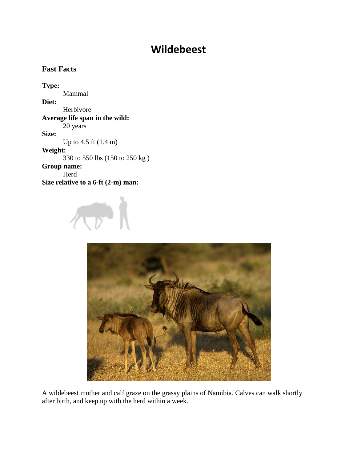## **Wildebeest**

## **Fast Facts**

**Type:** Mammal **Diet:** Herbivore **Average life span in the wild:** 20 years **Size:** Up to 4.5 ft (1.4 m) **Weight:** 330 to 550 lbs (150 to 250 kg ) **Group name:** Herd **Size relative to a 6-ft (2-m) man:**





A wildebeest mother and calf graze on the grassy plains of Namibia. Calves can walk shortly after birth, and keep up with the herd within a week.